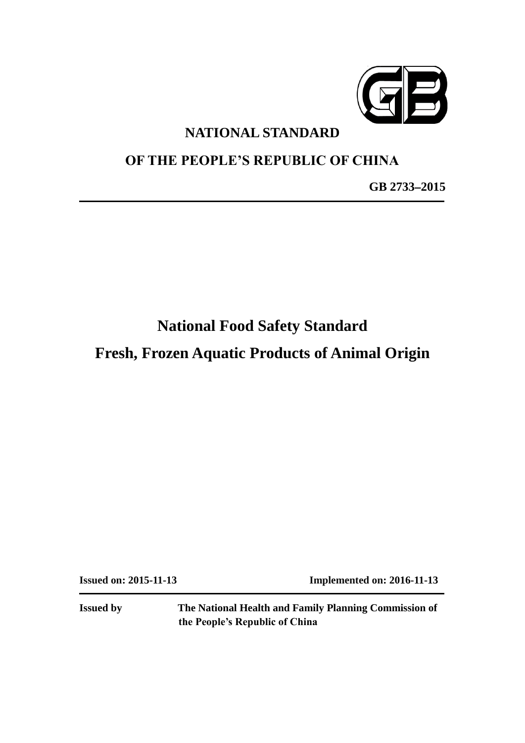

# **NATIONAL STANDARD**

# **OF THE PEOPLE'S REPUBLIC OF CHINA**

**GB 2733–2015**

# **National Food Safety Standard**

**Fresh, Frozen Aquatic Products of Animal Origin**

**Issued on: 2015-11-13 Implemented on: 2016-11-13**

**Issued by The National Health and Family Planning Commission of the People's Republic of China**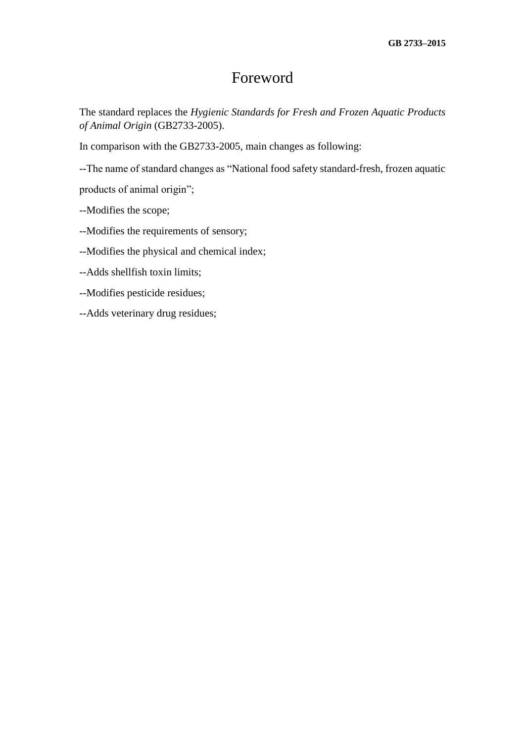# Foreword

The standard replaces the *Hygienic Standards for Fresh and Frozen Aquatic Products of Animal Origin* (GB2733-2005).

In comparison with the GB2733-2005, main changes as following:

--The name of standard changes as "National food safety standard-fresh, frozen aquatic

products of animal origin";

--Modifies the scope;

--Modifies the requirements of sensory;

--Modifies the physical and chemical index;

--Adds shellfish toxin limits;

--Modifies pesticide residues;

--Adds veterinary drug residues;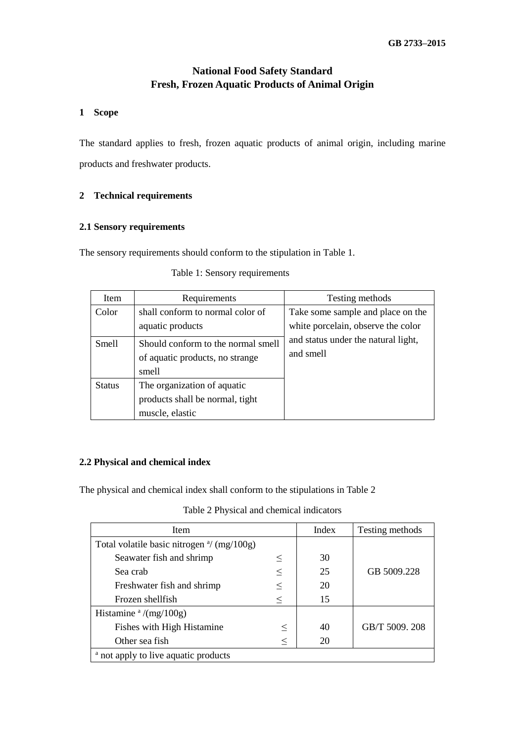# **National Food Safety Standard Fresh, Frozen Aquatic Products of Animal Origin**

## **1 Scope**

The standard applies to fresh, frozen aquatic products of animal origin, including marine products and freshwater products.

# **2 Technical requirements**

# **2.1 Sensory requirements**

The sensory requirements should conform to the stipulation in Table 1.

| <b>Item</b>   | Requirements                                                                      | Testing methods                                                         |
|---------------|-----------------------------------------------------------------------------------|-------------------------------------------------------------------------|
| Color         | shall conform to normal color of<br>aquatic products                              | Take some sample and place on the<br>white porcelain, observe the color |
| <b>Smell</b>  | Should conform to the normal smell<br>of aquatic products, no strange<br>smell    | and status under the natural light,<br>and smell                        |
| <b>Status</b> | The organization of aquatic<br>products shall be normal, tight<br>muscle, elastic |                                                                         |

Table 1: Sensory requirements

# **2.2 Physical and chemical index**

The physical and chemical index shall conform to the stipulations in Table 2

Table 2 Physical and chemical indicators

| Item                                                         | Index  | Testing methods |                |  |
|--------------------------------------------------------------|--------|-----------------|----------------|--|
| Total volatile basic nitrogen $\frac{a}{\text{m}}$ (mg/100g) |        |                 |                |  |
| Seawater fish and shrimp                                     | $\leq$ | 30              |                |  |
| Sea crab                                                     | $\leq$ | 25              | GB 5009.228    |  |
| Freshwater fish and shrimp                                   |        | 20              |                |  |
| Frozen shellfish                                             | $<\,$  | 15              |                |  |
| Histamine $\frac{a}{mg}/100g$                                |        |                 |                |  |
| Fishes with High Histamine                                   | $\leq$ | 40              | GB/T 5009, 208 |  |
| Other sea fish                                               | $\,<$  | 20              |                |  |
| <sup>a</sup> not apply to live aquatic products              |        |                 |                |  |